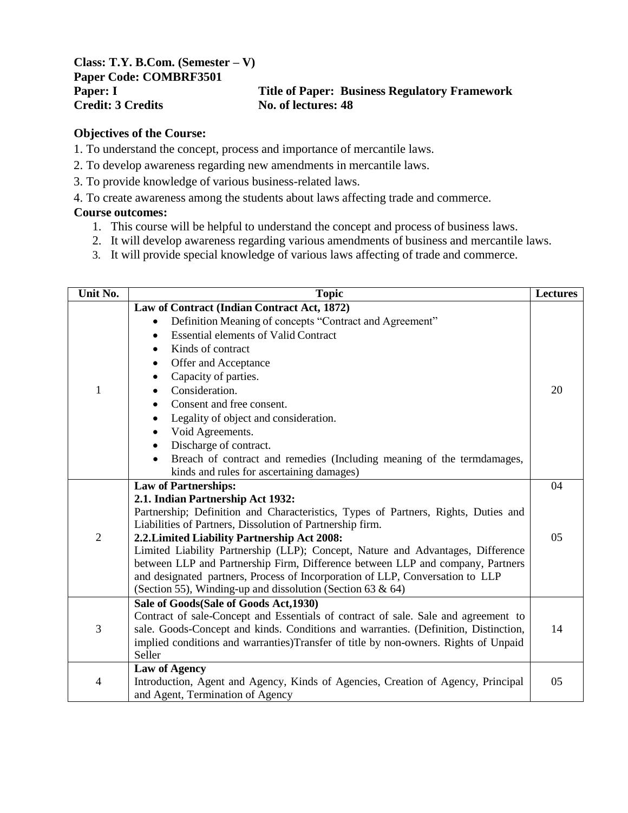**Class: T.Y. B.Com. (Semester – V) Paper Code: COMBRF3501 Credit: 3 Credits No. of lectures: 48**

# **Paper: I Title of Paper: Business Regulatory Framework**

### **Objectives of the Course:**

- 1. To understand the concept, process and importance of mercantile laws.
- 2. To develop awareness regarding new amendments in mercantile laws.
- 3. To provide knowledge of various business-related laws.
- 4. To create awareness among the students about laws affecting trade and commerce.

### **Course outcomes:**

- 1. This course will be helpful to understand the concept and process of business laws.
- 2. It will develop awareness regarding various amendments of business and mercantile laws.
- 3. It will provide special knowledge of various laws affecting of trade and commerce.

| Unit No.       | <b>Topic</b>                                                                                                                                | Lectures |
|----------------|---------------------------------------------------------------------------------------------------------------------------------------------|----------|
|                | Law of Contract (Indian Contract Act, 1872)                                                                                                 |          |
|                | Definition Meaning of concepts "Contract and Agreement"                                                                                     |          |
|                | <b>Essential elements of Valid Contract</b><br>٠                                                                                            |          |
|                | Kinds of contract<br>$\bullet$                                                                                                              |          |
|                | Offer and Acceptance<br>٠                                                                                                                   |          |
|                | Capacity of parties.<br>$\bullet$                                                                                                           |          |
| 1              | Consideration.                                                                                                                              | 20       |
|                | Consent and free consent.                                                                                                                   |          |
|                | Legality of object and consideration.                                                                                                       |          |
|                | Void Agreements.                                                                                                                            |          |
|                | Discharge of contract.                                                                                                                      |          |
|                | Breach of contract and remedies (Including meaning of the termdamages,<br>$\bullet$                                                         |          |
|                | kinds and rules for ascertaining damages)                                                                                                   |          |
|                | <b>Law of Partnerships:</b>                                                                                                                 | 04       |
|                | 2.1. Indian Partnership Act 1932:                                                                                                           |          |
|                | Partnership; Definition and Characteristics, Types of Partners, Rights, Duties and                                                          |          |
|                | Liabilities of Partners, Dissolution of Partnership firm.                                                                                   |          |
| $\overline{2}$ | 2.2. Limited Liability Partnership Act 2008:                                                                                                | 05       |
|                | Limited Liability Partnership (LLP); Concept, Nature and Advantages, Difference                                                             |          |
|                | between LLP and Partnership Firm, Difference between LLP and company, Partners                                                              |          |
|                | and designated partners, Process of Incorporation of LLP, Conversation to LLP<br>(Section 55), Winding-up and dissolution (Section 63 & 64) |          |
|                | Sale of Goods(Sale of Goods Act, 1930)                                                                                                      |          |
|                | Contract of sale-Concept and Essentials of contract of sale. Sale and agreement to                                                          |          |
| 3              | sale. Goods-Concept and kinds. Conditions and warranties. (Definition, Distinction,                                                         | 14       |
|                | implied conditions and warranties)Transfer of title by non-owners. Rights of Unpaid                                                         |          |
|                | Seller                                                                                                                                      |          |
|                | <b>Law of Agency</b>                                                                                                                        |          |
| $\overline{4}$ | Introduction, Agent and Agency, Kinds of Agencies, Creation of Agency, Principal                                                            | 05       |
|                | and Agent, Termination of Agency                                                                                                            |          |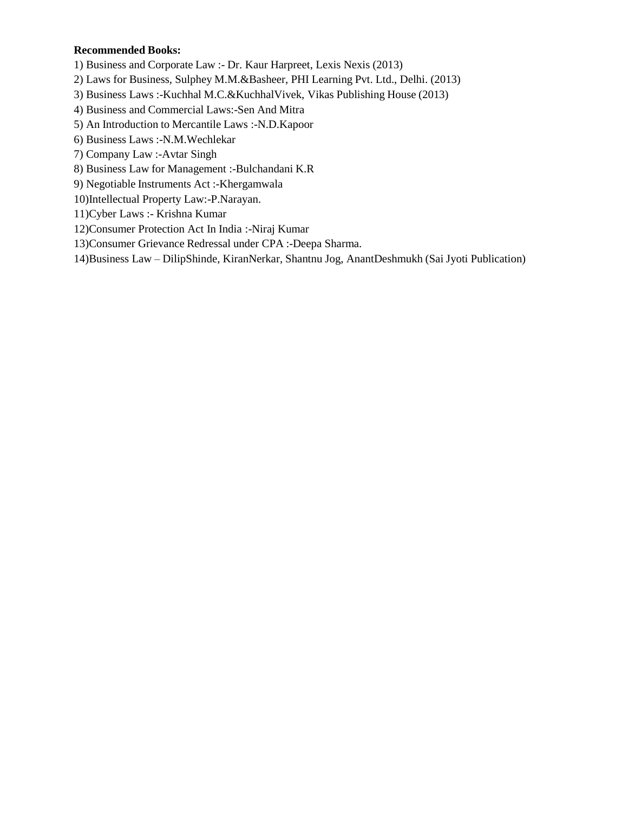#### **Recommended Books:**

1) Business and Corporate Law :- Dr. Kaur Harpreet, Lexis Nexis (2013)

- 2) Laws for Business, Sulphey M.M.&Basheer, PHI Learning Pvt. Ltd., Delhi. (2013)
- 3) Business Laws :-Kuchhal M.C.&KuchhalVivek, Vikas Publishing House (2013)
- 4) Business and Commercial Laws:-Sen And Mitra
- 5) An Introduction to Mercantile Laws :-N.D.Kapoor
- 6) Business Laws :-N.M.Wechlekar
- 7) Company Law :-Avtar Singh
- 8) Business Law for Management :-Bulchandani K.R
- 9) Negotiable Instruments Act :-Khergamwala
- 10)Intellectual Property Law:-P.Narayan.
- 11)Cyber Laws :- Krishna Kumar
- 12)Consumer Protection Act In India :-Niraj Kumar
- 13)Consumer Grievance Redressal under CPA :-Deepa Sharma.
- 14)Business Law DilipShinde, KiranNerkar, Shantnu Jog, AnantDeshmukh (Sai Jyoti Publication)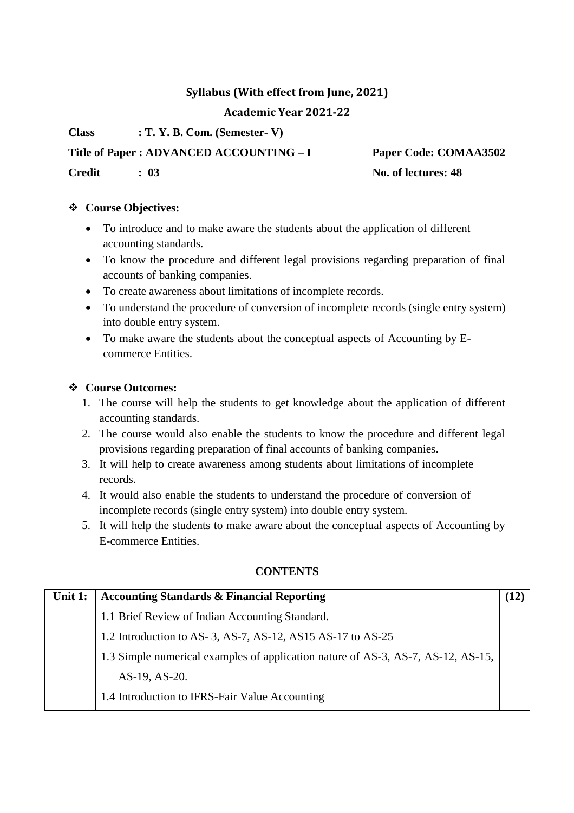### **Syllabus (With effect from June, 2021)**

**Academic Year 2021-22**

**Class : T. Y. B. Com. (Semester- V)**

**Title of Paper : ADVANCED ACCOUNTING – I Paper Code: COMAA3502**

**Credit : 03 No. of lectures: 48**

### **Course Objectives:**

- To introduce and to make aware the students about the application of different accounting standards.
- To know the procedure and different legal provisions regarding preparation of final accounts of banking companies.
- To create awareness about limitations of incomplete records.
- To understand the procedure of conversion of incomplete records (single entry system) into double entry system.
- To make aware the students about the conceptual aspects of Accounting by Ecommerce Entities.

### **Course Outcomes:**

- 1. The course will help the students to get knowledge about the application of different accounting standards.
- 2. The course would also enable the students to know the procedure and different legal provisions regarding preparation of final accounts of banking companies.
- 3. It will help to create awareness among students about limitations of incomplete records.
- 4. It would also enable the students to understand the procedure of conversion of incomplete records (single entry system) into double entry system.
- 5. It will help the students to make aware about the conceptual aspects of Accounting by E-commerce Entities.

| Unit 1: | <b>Accounting Standards &amp; Financial Reporting</b>                            |  |
|---------|----------------------------------------------------------------------------------|--|
|         | 1.1 Brief Review of Indian Accounting Standard.                                  |  |
|         | 1.2 Introduction to AS-3, AS-7, AS-12, AS15 AS-17 to AS-25                       |  |
|         | 1.3 Simple numerical examples of application nature of AS-3, AS-7, AS-12, AS-15, |  |
|         | AS-19, AS-20.                                                                    |  |
|         | 1.4 Introduction to IFRS-Fair Value Accounting                                   |  |

### **CONTENTS**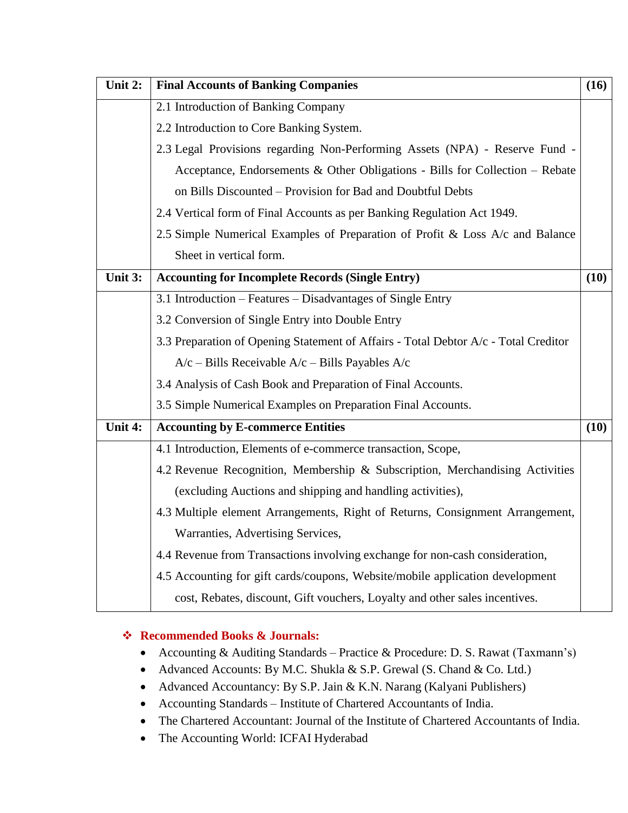| Unit 2: | <b>Final Accounts of Banking Companies</b>                                          | (16) |
|---------|-------------------------------------------------------------------------------------|------|
|         | 2.1 Introduction of Banking Company                                                 |      |
|         | 2.2 Introduction to Core Banking System.                                            |      |
|         | 2.3 Legal Provisions regarding Non-Performing Assets (NPA) - Reserve Fund -         |      |
|         | Acceptance, Endorsements & Other Obligations - Bills for Collection - Rebate        |      |
|         | on Bills Discounted - Provision for Bad and Doubtful Debts                          |      |
|         | 2.4 Vertical form of Final Accounts as per Banking Regulation Act 1949.             |      |
|         | 2.5 Simple Numerical Examples of Preparation of Profit & Loss A/c and Balance       |      |
|         | Sheet in vertical form.                                                             |      |
| Unit 3: | <b>Accounting for Incomplete Records (Single Entry)</b>                             | (10) |
|         | 3.1 Introduction – Features – Disadvantages of Single Entry                         |      |
|         | 3.2 Conversion of Single Entry into Double Entry                                    |      |
|         | 3.3 Preparation of Opening Statement of Affairs - Total Debtor A/c - Total Creditor |      |
|         | $A/c$ – Bills Receivable $A/c$ – Bills Payables $A/c$                               |      |
|         | 3.4 Analysis of Cash Book and Preparation of Final Accounts.                        |      |
|         | 3.5 Simple Numerical Examples on Preparation Final Accounts.                        |      |
| Unit 4: | <b>Accounting by E-commerce Entities</b>                                            | (10) |
|         | 4.1 Introduction, Elements of e-commerce transaction, Scope,                        |      |
|         | 4.2 Revenue Recognition, Membership & Subscription, Merchandising Activities        |      |
|         | (excluding Auctions and shipping and handling activities),                          |      |
|         | 4.3 Multiple element Arrangements, Right of Returns, Consignment Arrangement,       |      |
|         | Warranties, Advertising Services,                                                   |      |
|         | 4.4 Revenue from Transactions involving exchange for non-cash consideration,        |      |
|         | 4.5 Accounting for gift cards/coupons, Website/mobile application development       |      |
|         | cost, Rebates, discount, Gift vouchers, Loyalty and other sales incentives.         |      |

### **Recommended Books & Journals:**

- Accounting & Auditing Standards Practice & Procedure: D. S. Rawat (Taxmann's)
- Advanced Accounts: By M.C. Shukla & S.P. Grewal (S. Chand & Co. Ltd.)
- Advanced Accountancy: By S.P. Jain & K.N. Narang (Kalyani Publishers)
- Accounting Standards Institute of Chartered Accountants of India.
- The Chartered Accountant: Journal of the Institute of Chartered Accountants of India.
- The Accounting World: ICFAI Hyderabad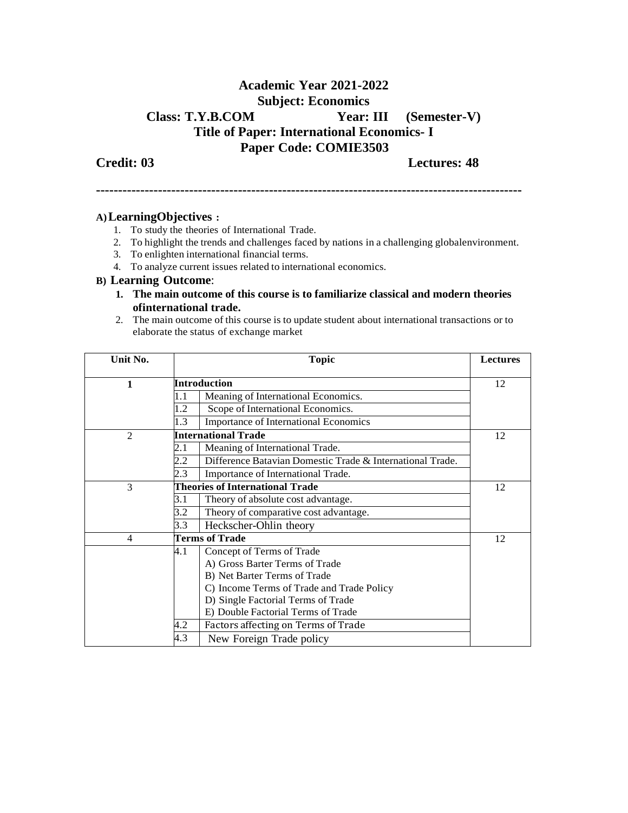### **Academic Year 2021-2022 Subject: Economics Class: T.Y.B.COM Year: III (Semester-V) Title of Paper: International Economics- I Paper Code: COMIE3503**

**Credit: 03 Lectures: 48**

**------------------------------------------------------------------------------------------------**

#### **A)LearningObjectives :**

- 1. To study the theories of International Trade.
- 2. To highlight the trends and challenges faced by nations in a challenging globalenvironment.
- 3. To enlighten international financial terms.
- 4. To analyze current issues related to international economics.

#### **B) Learning Outcome**:

- **1. The main outcome of this course is to familiarize classical and modern theories ofinternational trade.**
- 2. The main outcome of this course is to update student about international transactions or to elaborate the status of exchange market

| Unit No.       | <b>Topic</b>                           |                                                           | <b>Lectures</b> |
|----------------|----------------------------------------|-----------------------------------------------------------|-----------------|
| 1              |                                        | Introduction                                              | 12              |
|                | 1.1                                    | Meaning of International Economics.                       |                 |
|                | 1.2                                    | Scope of International Economics.                         |                 |
|                | 1.3                                    | <b>Importance of International Economics</b>              |                 |
| $\overline{2}$ |                                        | <b>International Trade</b>                                | 12              |
|                | 2.1                                    | Meaning of International Trade.                           |                 |
|                | 2.2                                    | Difference Batavian Domestic Trade & International Trade. |                 |
|                | 2.3                                    | Importance of International Trade.                        |                 |
| 3              | <b>Theories of International Trade</b> |                                                           | 12              |
|                | 3.1                                    | Theory of absolute cost advantage.                        |                 |
|                | 3.2                                    | Theory of comparative cost advantage.                     |                 |
|                | 3.3                                    | Heckscher-Ohlin theory                                    |                 |
| 4              |                                        | <b>Terms of Trade</b>                                     | 12              |
|                | 4.1                                    | Concept of Terms of Trade                                 |                 |
|                |                                        | A) Gross Barter Terms of Trade                            |                 |
|                |                                        | B) Net Barter Terms of Trade                              |                 |
|                |                                        | C) Income Terms of Trade and Trade Policy                 |                 |
|                |                                        | D) Single Factorial Terms of Trade                        |                 |
|                |                                        | E) Double Factorial Terms of Trade                        |                 |
|                | 4.2                                    | Factors affecting on Terms of Trade                       |                 |
|                | 4.3                                    | New Foreign Trade policy                                  |                 |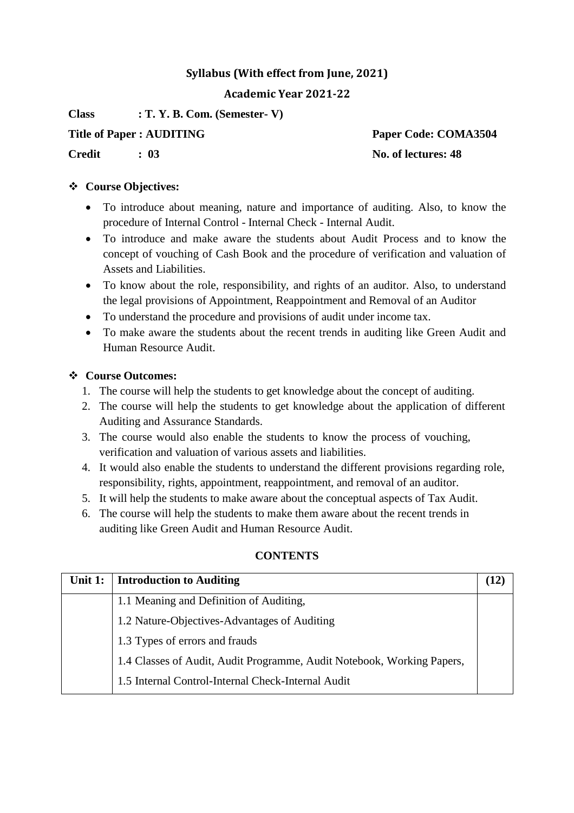### **Syllabus (With effect from June, 2021)**

### **Academic Year 2021-22**

**Class : T. Y. B. Com. (Semester- V)**

**Title of Paper : AUDITING Paper Code: COMA3504**

**Credit : 03 No. of lectures: 48**

### **Course Objectives:**

- To introduce about meaning, nature and importance of auditing. Also, to know the procedure of Internal Control - Internal Check - Internal Audit.
- To introduce and make aware the students about Audit Process and to know the concept of vouching of Cash Book and the procedure of verification and valuation of Assets and Liabilities.
- To know about the role, responsibility, and rights of an auditor. Also, to understand the legal provisions of Appointment, Reappointment and Removal of an Auditor
- To understand the procedure and provisions of audit under income tax.
- To make aware the students about the recent trends in auditing like Green Audit and Human Resource Audit.

### **Course Outcomes:**

- 1. The course will help the students to get knowledge about the concept of auditing.
- 2. The course will help the students to get knowledge about the application of different Auditing and Assurance Standards.
- 3. The course would also enable the students to know the process of vouching, verification and valuation of various assets and liabilities.
- 4. It would also enable the students to understand the different provisions regarding role, responsibility, rights, appointment, reappointment, and removal of an auditor.
- 5. It will help the students to make aware about the conceptual aspects of Tax Audit.
- 6. The course will help the students to make them aware about the recent trends in auditing like Green Audit and Human Resource Audit.

### **CONTENTS**

| Unit 1: | <b>Introduction to Auditing</b>                                        |  |
|---------|------------------------------------------------------------------------|--|
|         | 1.1 Meaning and Definition of Auditing,                                |  |
|         | 1.2 Nature-Objectives-Advantages of Auditing                           |  |
|         | 1.3 Types of errors and frauds                                         |  |
|         | 1.4 Classes of Audit, Audit Programme, Audit Notebook, Working Papers, |  |
|         | 1.5 Internal Control-Internal Check-Internal Audit                     |  |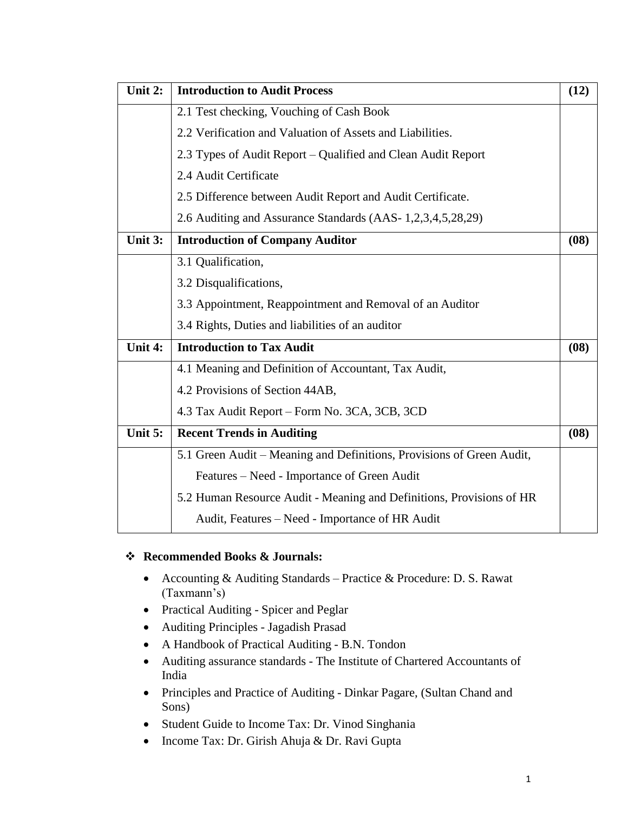| Unit 2: | <b>Introduction to Audit Process</b>                                  | (12) |
|---------|-----------------------------------------------------------------------|------|
|         | 2.1 Test checking, Vouching of Cash Book                              |      |
|         | 2.2 Verification and Valuation of Assets and Liabilities.             |      |
|         | 2.3 Types of Audit Report – Qualified and Clean Audit Report          |      |
|         | 2.4 Audit Certificate                                                 |      |
|         | 2.5 Difference between Audit Report and Audit Certificate.            |      |
|         | 2.6 Auditing and Assurance Standards (AAS-1,2,3,4,5,28,29)            |      |
| Unit 3: | <b>Introduction of Company Auditor</b>                                | (08) |
|         | 3.1 Qualification,                                                    |      |
|         | 3.2 Disqualifications,                                                |      |
|         | 3.3 Appointment, Reappointment and Removal of an Auditor              |      |
|         | 3.4 Rights, Duties and liabilities of an auditor                      |      |
| Unit 4: | <b>Introduction to Tax Audit</b>                                      | (08) |
|         | 4.1 Meaning and Definition of Accountant, Tax Audit,                  |      |
|         | 4.2 Provisions of Section 44AB,                                       |      |
|         | 4.3 Tax Audit Report – Form No. 3CA, 3CB, 3CD                         |      |
| Unit 5: | <b>Recent Trends in Auditing</b>                                      | (08) |
|         | 5.1 Green Audit – Meaning and Definitions, Provisions of Green Audit, |      |
|         | Features - Need - Importance of Green Audit                           |      |
|         | 5.2 Human Resource Audit - Meaning and Definitions, Provisions of HR  |      |
|         | Audit, Features – Need - Importance of HR Audit                       |      |

### **Recommended Books & Journals:**

- Accounting & Auditing Standards Practice & Procedure: D. S. Rawat (Taxmann's)
- Practical Auditing Spicer and Peglar
- Auditing Principles Jagadish Prasad
- A Handbook of Practical Auditing B.N. Tondon
- Auditing assurance standards The Institute of Chartered Accountants of India
- Principles and Practice of Auditing Dinkar Pagare, (Sultan Chand and Sons)
- Student Guide to Income Tax: Dr. Vinod Singhania
- Income Tax: Dr. Girish Ahuja & Dr. Ravi Gupta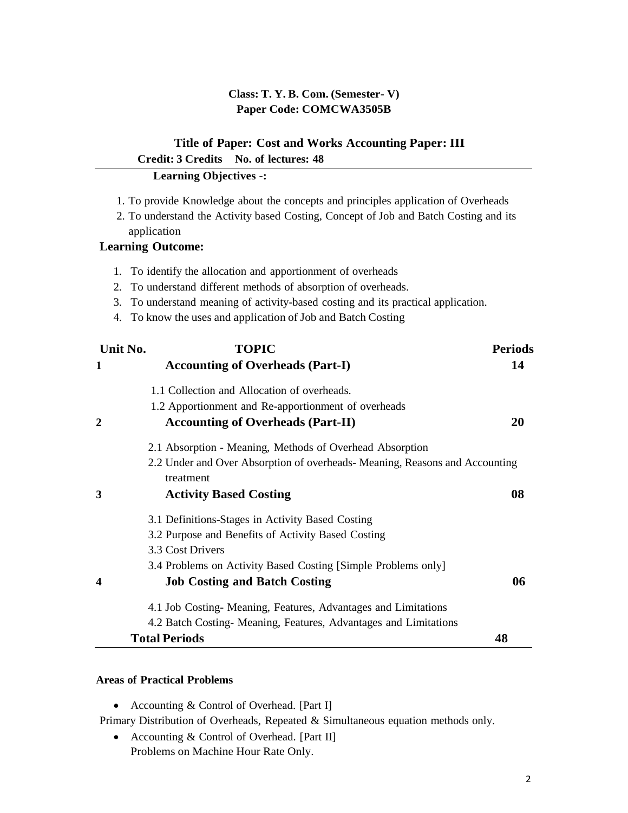### **Class: T. Y. B. Com. (Semester- V) Paper Code: COMCWA3505B**

## **Title of Paper: Cost and Works Accounting Paper: III Credit: 3 Credits No. of lectures: 48**

### **Learning Objectives -:**

- 1. To provide Knowledge about the concepts and principles application of Overheads
- 2. To understand the Activity based Costing, Concept of Job and Batch Costing and its application

### **Learning Outcome:**

- 1. To identify the allocation and apportionment of overheads
- 2. To understand different methods of absorption of overheads.
- 3. To understand meaning of activity-based costing and its practical application.
- 4. To know the uses and application of Job and Batch Costing

| Unit No.         | <b>TOPIC</b>                                                                             | <b>Periods</b> |
|------------------|------------------------------------------------------------------------------------------|----------------|
| 1                | <b>Accounting of Overheads (Part-I)</b>                                                  | 14             |
|                  | 1.1 Collection and Allocation of overheads.                                              |                |
|                  | 1.2 Apportionment and Re-apportionment of overheads                                      |                |
| $\mathbf{2}$     | <b>Accounting of Overheads (Part-II)</b>                                                 | 20             |
|                  | 2.1 Absorption - Meaning, Methods of Overhead Absorption                                 |                |
|                  | 2.2 Under and Over Absorption of overheads- Meaning, Reasons and Accounting<br>treatment |                |
| 3                | <b>Activity Based Costing</b>                                                            | 08             |
|                  | 3.1 Definitions-Stages in Activity Based Costing                                         |                |
|                  | 3.2 Purpose and Benefits of Activity Based Costing                                       |                |
|                  | 3.3 Cost Drivers                                                                         |                |
|                  | 3.4 Problems on Activity Based Costing [Simple Problems only]                            |                |
| $\boldsymbol{4}$ | <b>Job Costing and Batch Costing</b>                                                     | 06             |
|                  | 4.1 Job Costing-Meaning, Features, Advantages and Limitations                            |                |
|                  | 4.2 Batch Costing- Meaning, Features, Advantages and Limitations                         |                |
|                  | <b>Total Periods</b>                                                                     | 48             |

#### **Areas of Practical Problems**

• Accounting & Control of Overhead. [Part I]

Primary Distribution of Overheads, Repeated & Simultaneous equation methods only.

• Accounting & Control of Overhead. [Part II] Problems on Machine Hour Rate Only.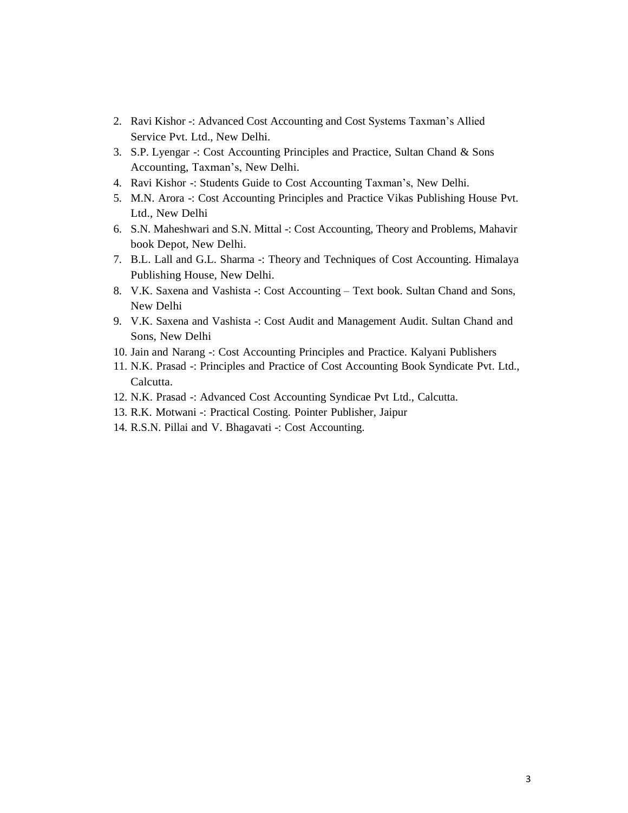- 2. Ravi Kishor -: Advanced Cost Accounting and Cost Systems Taxman's Allied Service Pvt. Ltd., New Delhi.
- 3. S.P. Lyengar -: Cost Accounting Principles and Practice, Sultan Chand & Sons Accounting, Taxman's, New Delhi.
- 4. Ravi Kishor -: Students Guide to Cost Accounting Taxman's, New Delhi.
- 5. M.N. Arora -: Cost Accounting Principles and Practice Vikas Publishing House Pvt. Ltd., New Delhi
- 6. S.N. Maheshwari and S.N. Mittal -: Cost Accounting, Theory and Problems, Mahavir book Depot, New Delhi.
- 7. B.L. Lall and G.L. Sharma -: Theory and Techniques of Cost Accounting. Himalaya Publishing House, New Delhi.
- 8. V.K. Saxena and Vashista -: Cost Accounting Text book. Sultan Chand and Sons, New Delhi
- 9. V.K. Saxena and Vashista -: Cost Audit and Management Audit. Sultan Chand and Sons, New Delhi
- 10. Jain and Narang -: Cost Accounting Principles and Practice. Kalyani Publishers
- 11. N.K. Prasad -: Principles and Practice of Cost Accounting Book Syndicate Pvt. Ltd., Calcutta.
- 12. N.K. Prasad -: Advanced Cost Accounting Syndicae Pvt Ltd., Calcutta.
- 13. R.K. Motwani -: Practical Costing. Pointer Publisher, Jaipur
- 14. R.S.N. Pillai and V. Bhagavati -: Cost Accounting.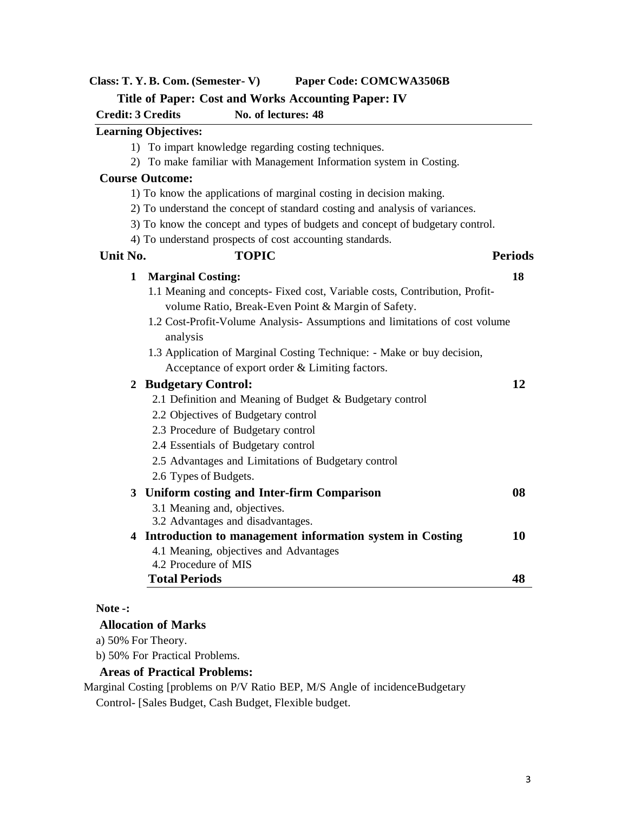### **Class: T. Y. B. Com. (Semester- V) Paper Code: COMCWA3506B**

#### **Title of Paper: Cost and Works Accounting Paper: IV**

**Credit: 3 Credits No. of lectures: 48**

### **Learning Objectives:**

- 1) To impart knowledge regarding costing techniques.
- 2) To make familiar with Management Information system in Costing.

#### **Course Outcome:**

- 1) To know the applications of marginal costing in decision making.
- 2) To understand the concept of standard costing and analysis of variances.
- 3) To know the concept and types of budgets and concept of budgetary control.
- 4) To understand prospects of cost accounting standards.<br> **Unit No.** TOPIC

| Unit No. | <b>TOPIC</b>                                                                | <b>Periods</b> |
|----------|-----------------------------------------------------------------------------|----------------|
| 1        | <b>Marginal Costing:</b>                                                    | 18             |
|          | 1.1 Meaning and concepts- Fixed cost, Variable costs, Contribution, Profit- |                |
|          | volume Ratio, Break-Even Point & Margin of Safety.                          |                |
|          | 1.2 Cost-Profit-Volume Analysis- Assumptions and limitations of cost volume |                |
|          | analysis                                                                    |                |
|          | 1.3 Application of Marginal Costing Technique: - Make or buy decision,      |                |
|          | Acceptance of export order & Limiting factors.                              |                |
|          | 2 Budgetary Control:                                                        | 12             |
|          | 2.1 Definition and Meaning of Budget & Budgetary control                    |                |
|          | 2.2 Objectives of Budgetary control                                         |                |
|          | 2.3 Procedure of Budgetary control                                          |                |
|          | 2.4 Essentials of Budgetary control                                         |                |
|          | 2.5 Advantages and Limitations of Budgetary control                         |                |
|          | 2.6 Types of Budgets.                                                       |                |
|          | 3 Uniform costing and Inter-firm Comparison                                 | 08             |
|          | 3.1 Meaning and, objectives.                                                |                |
|          | 3.2 Advantages and disadvantages.                                           |                |
|          | 4 Introduction to management information system in Costing                  | 10             |
|          | 4.1 Meaning, objectives and Advantages                                      |                |
|          | 4.2 Procedure of MIS                                                        |                |
|          | <b>Total Periods</b>                                                        | 48             |

### **Note -:**

#### **Allocation of Marks**

a) 50% For Theory.

b) 50% For Practical Problems.

### **Areas of Practical Problems:**

Marginal Costing [problems on P/V Ratio BEP, M/S Angle of incidenceBudgetary Control- [Sales Budget, Cash Budget, Flexible budget.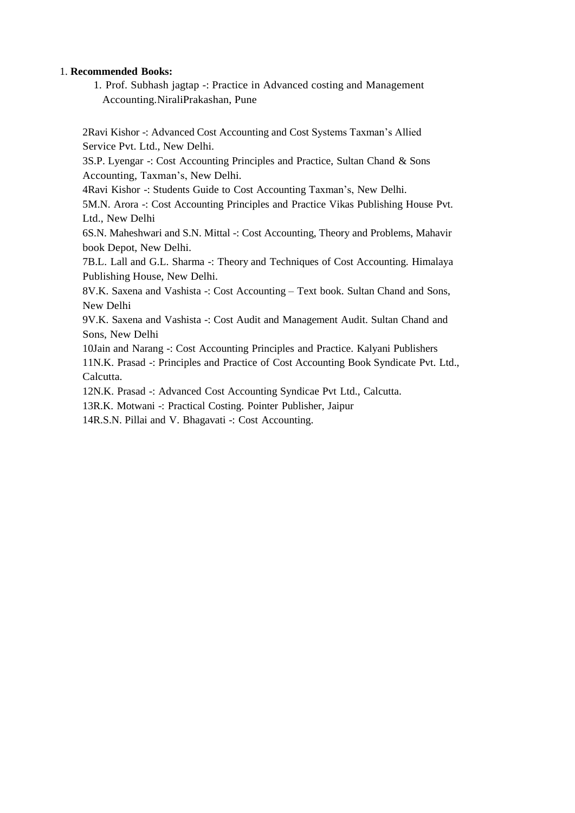#### 1. **Recommended Books:**

1. Prof. Subhash jagtap -: Practice in Advanced costing and Management Accounting.NiraliPrakashan, Pune

2Ravi Kishor -: Advanced Cost Accounting and Cost Systems Taxman's Allied Service Pvt. Ltd., New Delhi.

3S.P. Lyengar -: Cost Accounting Principles and Practice, Sultan Chand & Sons Accounting, Taxman's, New Delhi.

4Ravi Kishor -: Students Guide to Cost Accounting Taxman's, New Delhi.

5M.N. Arora -: Cost Accounting Principles and Practice Vikas Publishing House Pvt. Ltd., New Delhi

6S.N. Maheshwari and S.N. Mittal -: Cost Accounting, Theory and Problems, Mahavir book Depot, New Delhi.

7B.L. Lall and G.L. Sharma -: Theory and Techniques of Cost Accounting. Himalaya Publishing House, New Delhi.

8V.K. Saxena and Vashista -: Cost Accounting – Text book. Sultan Chand and Sons, New Delhi

9V.K. Saxena and Vashista -: Cost Audit and Management Audit. Sultan Chand and Sons, New Delhi

10Jain and Narang -: Cost Accounting Principles and Practice. Kalyani Publishers 11N.K. Prasad -: Principles and Practice of Cost Accounting Book Syndicate Pvt. Ltd., Calcutta.

12N.K. Prasad -: Advanced Cost Accounting Syndicae Pvt Ltd., Calcutta.

13R.K. Motwani -: Practical Costing. Pointer Publisher, Jaipur

14R.S.N. Pillai and V. Bhagavati -: Cost Accounting.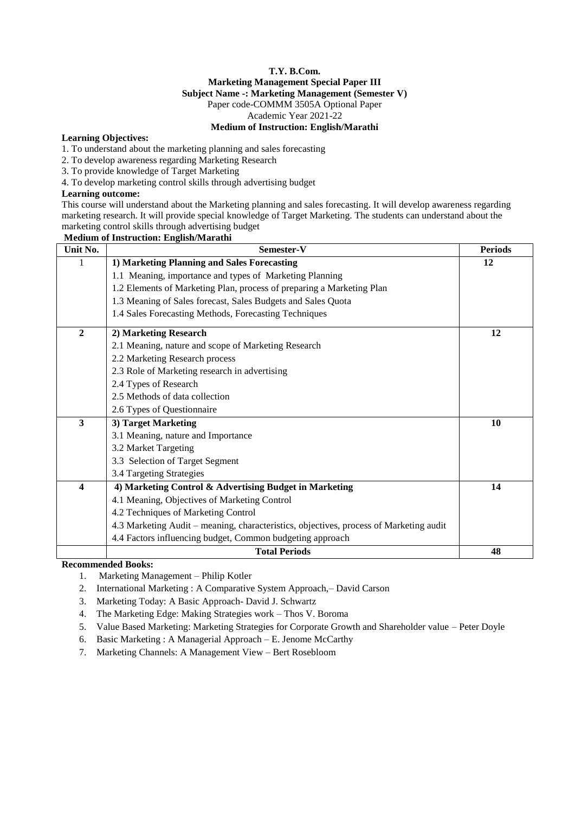#### **T.Y. B.Com. Marketing Management Special Paper III Subject Name -: Marketing Management (Semester V)** Paper code-COMMM 3505A Optional Paper

Academic Year 2021-22

#### **Medium of Instruction: English/Marathi**

#### **Learning Objectives:**

1. To understand about the marketing planning and sales forecasting

#### 2. To develop awareness regarding Marketing Research

3. To provide knowledge of Target Marketing

4. To develop marketing control skills through advertising budget

#### **Learning outcome:**

This course will understand about the Marketing planning and sales forecasting. It will develop awareness regarding marketing research. It will provide special knowledge of Target Marketing. The students can understand about the marketing control skills through advertising budget

| <b>Medium of Instruction: English/Marathi</b> |                                                                                        |                |  |  |
|-----------------------------------------------|----------------------------------------------------------------------------------------|----------------|--|--|
| Unit No.                                      | Semester-V                                                                             | <b>Periods</b> |  |  |
|                                               | 1) Marketing Planning and Sales Forecasting                                            | 12             |  |  |
|                                               | 1.1 Meaning, importance and types of Marketing Planning                                |                |  |  |
|                                               | 1.2 Elements of Marketing Plan, process of preparing a Marketing Plan                  |                |  |  |
|                                               | 1.3 Meaning of Sales forecast, Sales Budgets and Sales Quota                           |                |  |  |
|                                               | 1.4 Sales Forecasting Methods, Forecasting Techniques                                  |                |  |  |
| $\boldsymbol{2}$                              | 2) Marketing Research                                                                  | 12             |  |  |
|                                               | 2.1 Meaning, nature and scope of Marketing Research                                    |                |  |  |
|                                               | 2.2 Marketing Research process                                                         |                |  |  |
|                                               | 2.3 Role of Marketing research in advertising                                          |                |  |  |
|                                               | 2.4 Types of Research                                                                  |                |  |  |
|                                               | 2.5 Methods of data collection                                                         |                |  |  |
|                                               | 2.6 Types of Questionnaire                                                             |                |  |  |
| 3                                             | 3) Target Marketing                                                                    | 10             |  |  |
|                                               | 3.1 Meaning, nature and Importance                                                     |                |  |  |
|                                               | 3.2 Market Targeting                                                                   |                |  |  |
|                                               | 3.3 Selection of Target Segment                                                        |                |  |  |
|                                               | 3.4 Targeting Strategies                                                               |                |  |  |
| $\overline{\mathbf{4}}$                       | 4) Marketing Control & Advertising Budget in Marketing                                 | 14             |  |  |
|                                               | 4.1 Meaning, Objectives of Marketing Control                                           |                |  |  |
|                                               | 4.2 Techniques of Marketing Control                                                    |                |  |  |
|                                               | 4.3 Marketing Audit – meaning, characteristics, objectives, process of Marketing audit |                |  |  |
|                                               | 4.4 Factors influencing budget, Common budgeting approach                              |                |  |  |
|                                               | <b>Total Periods</b>                                                                   | 48             |  |  |

**Recommended Books:**

- 1. Marketing Management Philip Kotler
- 2. International Marketing : A Comparative System Approach,– David Carson
- 3. Marketing Today: A Basic Approach- David J. Schwartz
- 4. The Marketing Edge: Making Strategies work Thos V. Boroma
- 5. Value Based Marketing: Marketing Strategies for Corporate Growth and Shareholder value Peter Doyle
- 6. Basic Marketing : A Managerial Approach E. Jenome McCarthy
- 7. Marketing Channels: A Management View Bert Rosebloom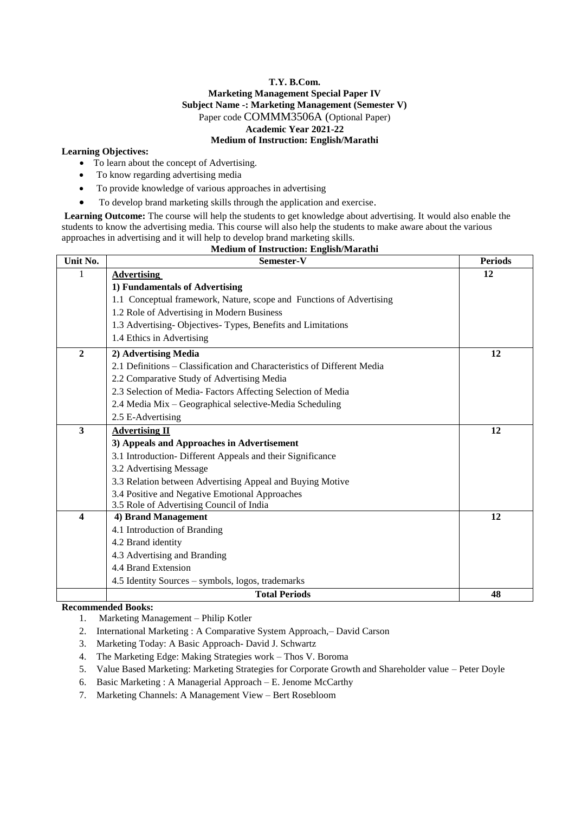#### **T.Y. B.Com. Marketing Management Special Paper IV Subject Name -: Marketing Management (Semester V)** Paper code COMMM3506A (Optional Paper) **Academic Year 2021-22 Medium of Instruction: English/Marathi**

#### **Learning Objectives:**

- To learn about the concept of Advertising.
- To know regarding advertising media
- To provide knowledge of various approaches in advertising
- To develop brand marketing skills through the application and exercise.

**Learning Outcome:** The course will help the students to get knowledge about advertising. It would also enable the students to know the advertising media. This course will also help the students to make aware about the various approaches in advertising and it will help to develop brand marketing skills.

| Unit No.       | Semester-V                                                              | <b>Periods</b> |
|----------------|-------------------------------------------------------------------------|----------------|
| 1              | <b>Advertising</b>                                                      | 12             |
|                | 1) Fundamentals of Advertising                                          |                |
|                | 1.1 Conceptual framework, Nature, scope and Functions of Advertising    |                |
|                | 1.2 Role of Advertising in Modern Business                              |                |
|                | 1.3 Advertising-Objectives-Types, Benefits and Limitations              |                |
|                | 1.4 Ethics in Advertising                                               |                |
| $\overline{2}$ | 2) Advertising Media                                                    | 12             |
|                | 2.1 Definitions – Classification and Characteristics of Different Media |                |
|                | 2.2 Comparative Study of Advertising Media                              |                |
|                | 2.3 Selection of Media-Factors Affecting Selection of Media             |                |
|                | 2.4 Media Mix - Geographical selective-Media Scheduling                 |                |
|                | 2.5 E-Advertising                                                       |                |
| 3              | <b>Advertising II</b>                                                   | 12             |
|                | 3) Appeals and Approaches in Advertisement                              |                |
|                | 3.1 Introduction- Different Appeals and their Significance              |                |
|                | 3.2 Advertising Message                                                 |                |
|                | 3.3 Relation between Advertising Appeal and Buying Motive               |                |
|                | 3.4 Positive and Negative Emotional Approaches                          |                |
|                | 3.5 Role of Advertising Council of India                                |                |
| 4              | 4) Brand Management                                                     | 12             |
|                | 4.1 Introduction of Branding                                            |                |
|                | 4.2 Brand identity                                                      |                |
|                | 4.3 Advertising and Branding                                            |                |
|                | 4.4 Brand Extension                                                     |                |
|                | 4.5 Identity Sources – symbols, logos, trademarks                       |                |
|                | <b>Total Periods</b>                                                    | 48             |

#### **Medium of Instruction: English/Marathi**

#### **Recommended Books:**

- 1. Marketing Management Philip Kotler
- 2. International Marketing : A Comparative System Approach,– David Carson
- 3. Marketing Today: A Basic Approach- David J. Schwartz
- 4. The Marketing Edge: Making Strategies work Thos V. Boroma
- 5. Value Based Marketing: Marketing Strategies for Corporate Growth and Shareholder value Peter Doyle
- 6. Basic Marketing : A Managerial Approach E. Jenome McCarthy
- 7. Marketing Channels: A Management View Bert Rosebloom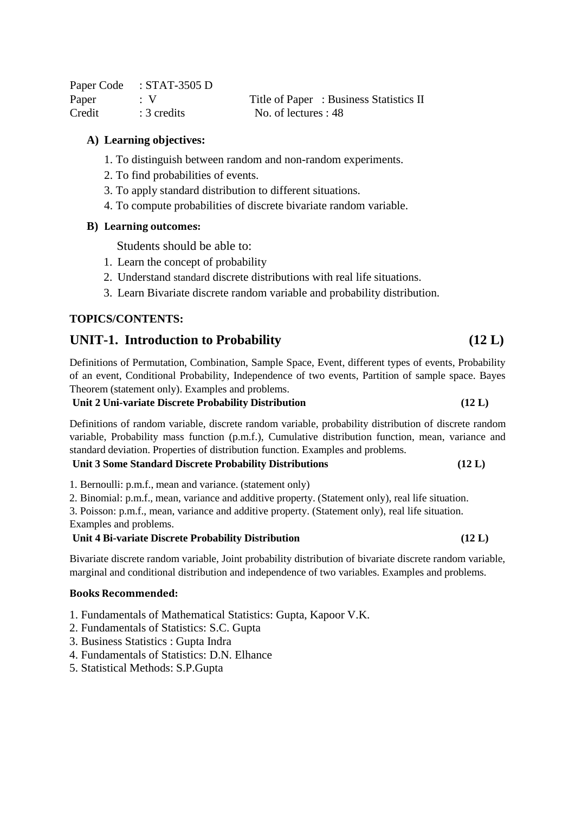Paper Code : STAT-3505 D Paper : V Title of Paper : Business Statistics II Credit : 3 credits No. of lectures : 48

### **A) Learning objectives:**

- 1. To distinguish between random and non-random experiments.
- 2. To find probabilities of events.
- 3. To apply standard distribution to different situations.
- 4. To compute probabilities of discrete bivariate random variable.

#### **B) Learning outcomes:**

Students should be able to:

- 1. Learn the concept of probability
- 2. Understand standard discrete distributions with real life situations.
- 3. Learn Bivariate discrete random variable and probability distribution.

### **TOPICS/CONTENTS:**

### **UNIT-1. Introduction to Probability (12 L)**

Definitions of Permutation, Combination, Sample Space, Event, different types of events, Probability of an event, Conditional Probability, Independence of two events, Partition of sample space. Bayes Theorem (statement only). Examples and problems.

#### **Unit 2 Uni-variate Discrete Probability Distribution (12 L)**

Definitions of random variable, discrete random variable, probability distribution of discrete random variable, Probability mass function (p.m.f.), Cumulative distribution function, mean, variance and standard deviation. Properties of distribution function. Examples and problems.

#### **Unit 3 Some Standard Discrete Probability Distributions (12 L)**

1. Bernoulli: p.m.f., mean and variance. (statement only)

2. Binomial: p.m.f., mean, variance and additive property. (Statement only), real life situation.

3. Poisson: p.m.f., mean, variance and additive property. (Statement only), real life situation.

Examples and problems.

### **Unit 4 Bi-variate Discrete Probability Distribution (12 L)**

Bivariate discrete random variable, Joint probability distribution of bivariate discrete random variable, marginal and conditional distribution and independence of two variables. Examples and problems.

#### **Books Recommended:**

- 1. Fundamentals of Mathematical Statistics: Gupta, Kapoor V.K.
- 2. Fundamentals of Statistics: S.C. Gupta
- 3. Business Statistics : Gupta Indra
- 4. Fundamentals of Statistics: D.N. Elhance
- 5. Statistical Methods: S.P.Gupta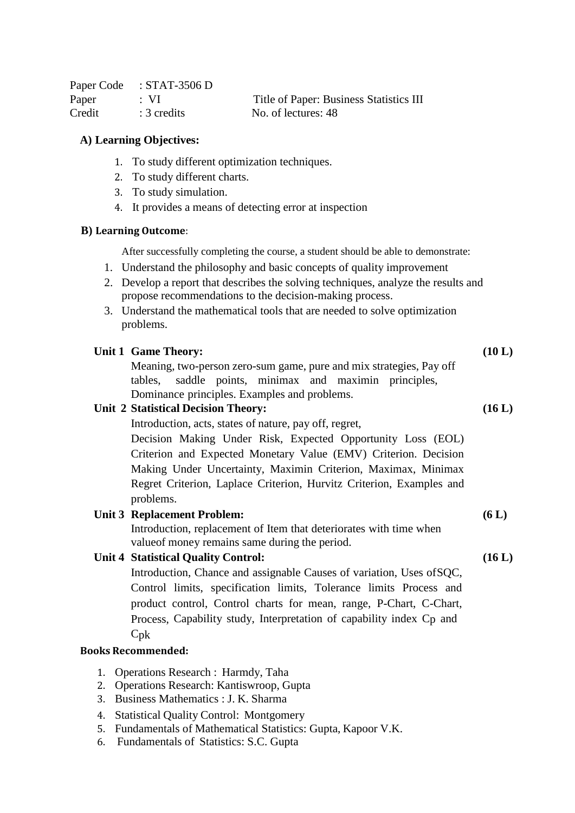|        | Paper Code : STAT-3506 D |                                         |
|--------|--------------------------|-----------------------------------------|
| Paper  | $\cdot$ VI               | Title of Paper: Business Statistics III |
| Credit | $\therefore$ 3 credits   | No. of lectures: 48                     |

#### **A) Learning Objectives:**

- 1. To study different optimization techniques.
- 2. To study different charts.
- 3. To study simulation.
- 4. It provides a means of detecting error at inspection

#### **B) Learning Outcome**:

After successfully completing the course, a student should be able to demonstrate:

- 1. Understand the philosophy and basic concepts of quality improvement
- 2. Develop a report that describes the solving techniques, analyze the results and propose recommendations to the decision-making process.
- 3. Understand the mathematical tools that are needed to solve optimization problems.

| Unit 1 Game Theory: |  |  |
|---------------------|--|--|
|                     |  |  |

Meaning, two-person zero-sum game, pure and mix strategies, Pay off tables, saddle points, minimax and maximin principles, Dominance principles. Examples and problems.

### **Unit 2 Statistical Decision Theory:**

Introduction, acts, states of nature, pay off, regret,

Decision Making Under Risk, Expected Opportunity Loss (EOL) Criterion and Expected Monetary Value (EMV) Criterion. Decision Making Under Uncertainty, Maximin Criterion, Maximax, Minimax Regret Criterion, Laplace Criterion, Hurvitz Criterion, Examples and problems.

#### **Unit 3 Replacement Problem:**

Introduction, replacement of Item that deteriorates with time when valueof money remains same during the period.

### **Unit 4 Statistical Quality Control:**

Introduction, Chance and assignable Causes of variation, Uses ofSQC, Control limits, specification limits, Tolerance limits Process and product control, Control charts for mean, range, P-Chart, C-Chart, Process, Capability study, Interpretation of capability index C<sub>p</sub> and Cpk

#### **Books Recommended:**

- 1. Operations Research : Harmdy, Taha
- 2. Operations Research: Kantiswroop, Gupta
- 3. Business Mathematics : J. K. Sharma
- 4. Statistical Quality Control: Montgomery
- 5. Fundamentals of Mathematical Statistics: Gupta, Kapoor V.K.
- 6. Fundamentals of Statistics: S.C. Gupta

**(10 L)**

**(16 L)**

#### **(16 L)**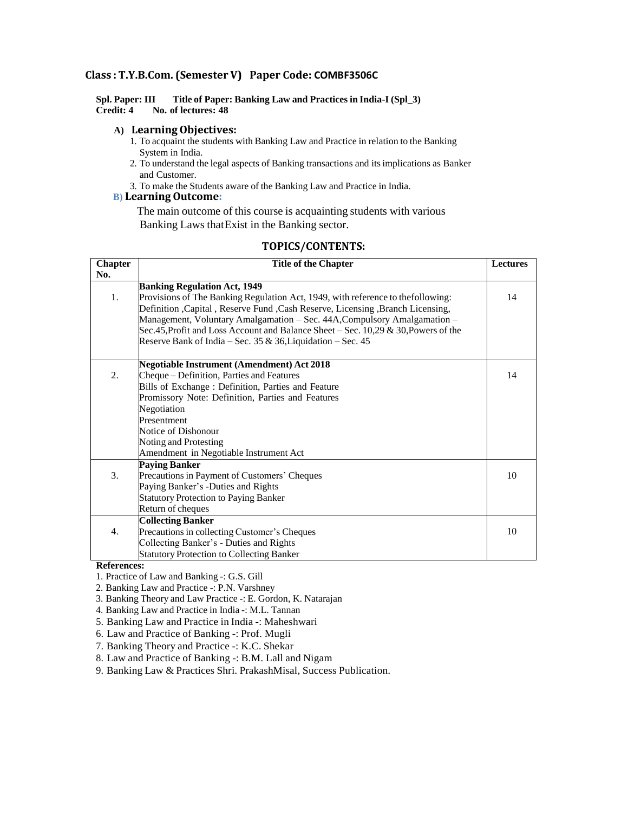#### **Class : T.Y.B.Com. (Semester V) Paper Code: COMBF3506C**

**Spl. Paper: III Title of Paper: Banking Law and Practices in India-I (Spl\_3) Credit: 4 No. of lectures: 48**

#### **A) Learning Objectives:**

- 1. To acquaint the students with Banking Law and Practice in relation to the Banking System in India.
- 2. To understand the legal aspects of Banking transactions and itsimplications as Banker and Customer.
- 3. To make the Students aware of the Banking Law and Practice in India.

#### **B) Learning Outcome:**

The main outcome of this course is acquainting students with various Banking Laws thatExist in the Banking sector.

#### **TOPICS/CONTENTS:**

| <b>Chapter</b> | <b>Title of the Chapter</b>                                                        | <b>Lectures</b> |
|----------------|------------------------------------------------------------------------------------|-----------------|
| No.            |                                                                                    |                 |
|                | <b>Banking Regulation Act, 1949</b>                                                |                 |
| 1.             | Provisions of The Banking Regulation Act, 1949, with reference to thefollowing:    | 14              |
|                | Definition , Capital, Reserve Fund , Cash Reserve, Licensing, Branch Licensing,    |                 |
|                | Management, Voluntary Amalgamation – Sec. 44A, Compulsory Amalgamation –           |                 |
|                | Sec.45, Profit and Loss Account and Balance Sheet – Sec. 10,29 & 30, Powers of the |                 |
|                | Reserve Bank of India – Sec. 35 & 36, Liquidation – Sec. 45                        |                 |
|                |                                                                                    |                 |
|                | <b>Negotiable Instrument (Amendment) Act 2018</b>                                  |                 |
| 2.             | Cheque – Definition, Parties and Features                                          | 14              |
|                | Bills of Exchange: Definition, Parties and Feature                                 |                 |
|                | Promissory Note: Definition, Parties and Features                                  |                 |
|                | Negotiation                                                                        |                 |
|                | Presentment                                                                        |                 |
|                | Notice of Dishonour                                                                |                 |
|                | Noting and Protesting                                                              |                 |
|                | Amendment in Negotiable Instrument Act                                             |                 |
|                | <b>Paying Banker</b>                                                               |                 |
| 3.             | Precautions in Payment of Customers' Cheques                                       | 10              |
|                | Paying Banker's -Duties and Rights                                                 |                 |
|                | <b>Statutory Protection to Paying Banker</b>                                       |                 |
|                | Return of cheques                                                                  |                 |
|                | <b>Collecting Banker</b>                                                           |                 |
| 4.             | Precautions in collecting Customer's Cheques                                       | 10              |
|                | Collecting Banker's - Duties and Rights                                            |                 |
|                | <b>Statutory Protection to Collecting Banker</b>                                   |                 |

#### **References:**

- 1. Practice of Law and Banking -: G.S. Gill
- 2. Banking Law and Practice -: P.N. Varshney
- 3. Banking Theory and Law Practice -: E. Gordon, K. Natarajan
- 4. Banking Law and Practice in India -: M.L. Tannan
- 5. Banking Law and Practice in India -: Maheshwari
- 6. Law and Practice of Banking -: Prof. Mugli
- 7. Banking Theory and Practice -: K.C. Shekar
- 8. Law and Practice of Banking -: B.M. Lall and Nigam
- 9. Banking Law & Practices Shri. PrakashMisal, Success Publication.